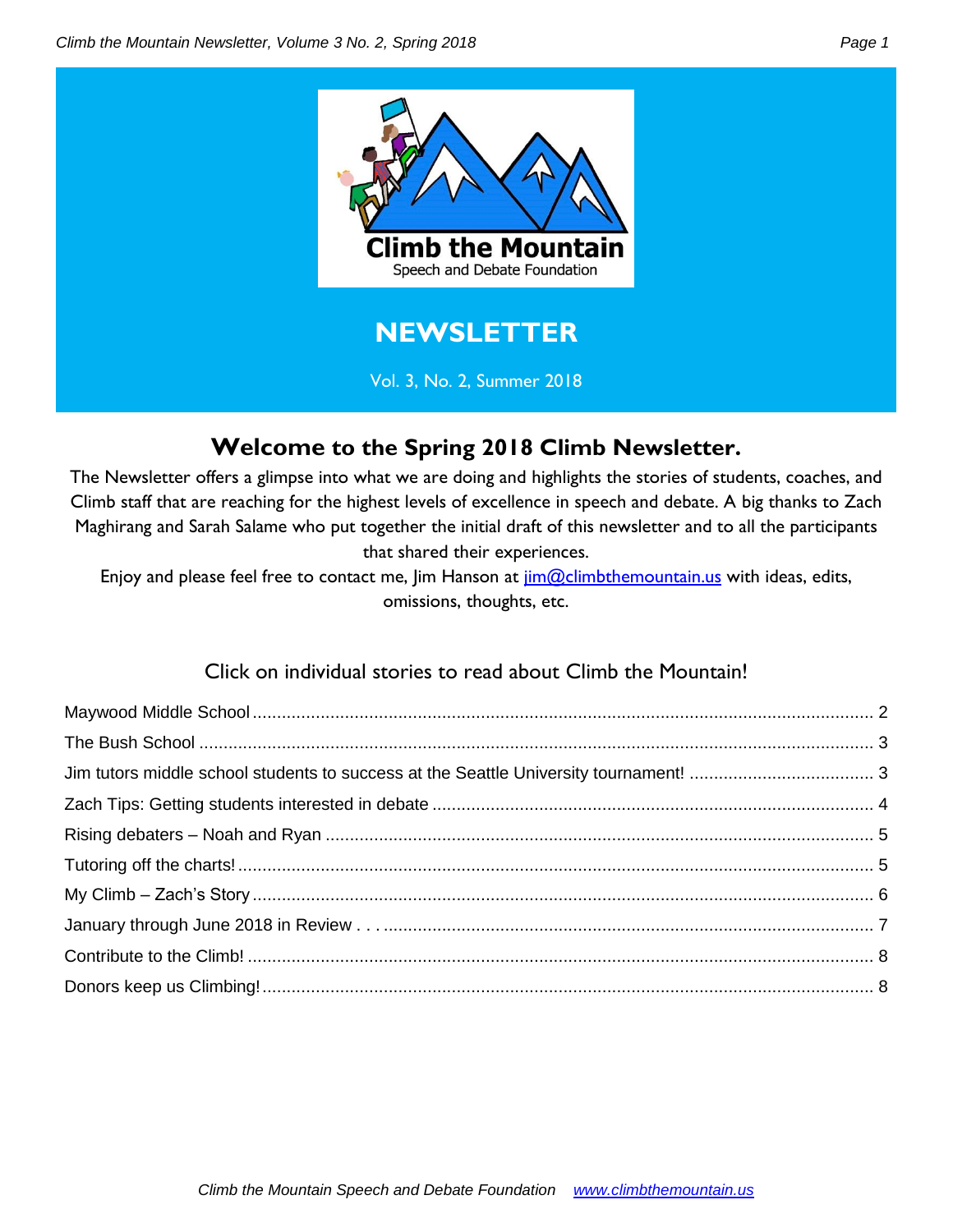

### **Welcome to the Spring 2018 Climb Newsletter.**

The Newsletter offers a glimpse into what we are doing and highlights the stories of students, coaches, and Climb staff that are reaching for the highest levels of excellence in speech and debate. A big thanks to Zach Maghirang and Sarah Salame who put together the initial draft of this newsletter and to all the participants that shared their experiences.

Enjoy and please feel free to contact me, Jim Hanson at *jim@climbthemountain.us* with ideas, edits, omissions, thoughts, etc.

### Click on individual stories to read about Climb the Mountain!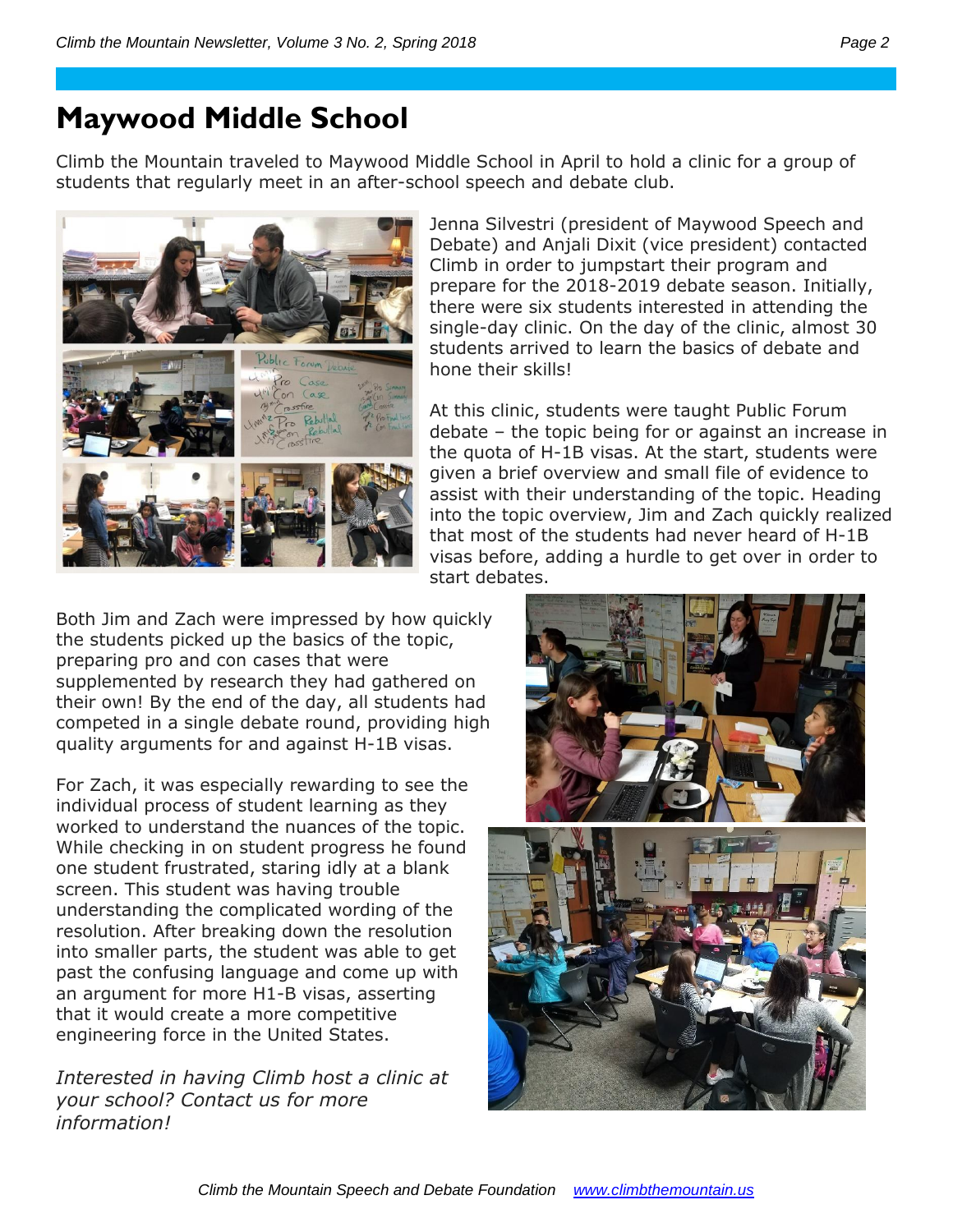## <span id="page-1-0"></span>**Maywood Middle School**

Climb the Mountain traveled to Maywood Middle School in April to hold a clinic for a group of students that regularly meet in an after-school speech and debate club.



Jenna Silvestri (president of Maywood Speech and Debate) and Anjali Dixit (vice president) contacted Climb in order to jumpstart their program and prepare for the 2018-2019 debate season. Initially, there were six students interested in attending the single-day clinic. On the day of the clinic, almost 30 students arrived to learn the basics of debate and hone their skills!

At this clinic, students were taught Public Forum debate – the topic being for or against an increase in the quota of H-1B visas. At the start, students were given a brief overview and small file of evidence to assist with their understanding of the topic. Heading into the topic overview, Jim and Zach quickly realized that most of the students had never heard of H-1B visas before, adding a hurdle to get over in order to start debates.

Both Jim and Zach were impressed by how quickly the students picked up the basics of the topic, preparing pro and con cases that were supplemented by research they had gathered on their own! By the end of the day, all students had competed in a single debate round, providing high quality arguments for and against H-1B visas.

For Zach, it was especially rewarding to see the individual process of student learning as they worked to understand the nuances of the topic. While checking in on student progress he found one student frustrated, staring idly at a blank screen. This student was having trouble understanding the complicated wording of the resolution. After breaking down the resolution into smaller parts, the student was able to get past the confusing language and come up with an argument for more H1-B visas, asserting that it would create a more competitive engineering force in the United States.

*Interested in having Climb host a clinic at your school? Contact us for more information!* 

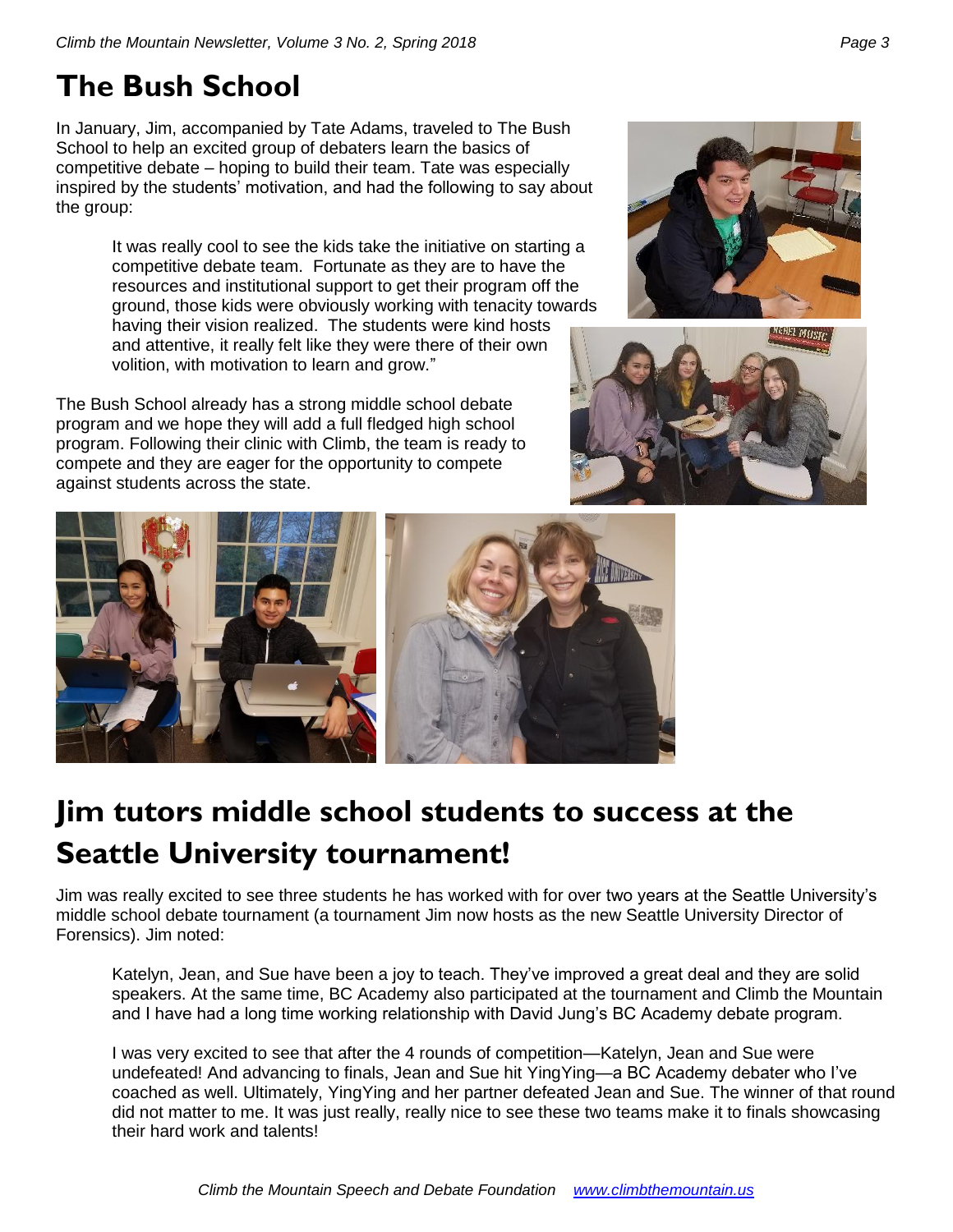## <span id="page-2-0"></span>**The Bush School**

In January, Jim, accompanied by Tate Adams, traveled to The Bush School to help an excited group of debaters learn the basics of competitive debate – hoping to build their team. Tate was especially inspired by the students' motivation, and had the following to say about the group:

> It was really cool to see the kids take the initiative on starting a competitive debate team. Fortunate as they are to have the resources and institutional support to get their program off the ground, those kids were obviously working with tenacity towards having their vision realized. The students were kind hosts and attentive, it really felt like they were there of their own volition, with motivation to learn and grow."

The Bush School already has a strong middle school debate program and we hope they will add a full fledged high school program. Following their clinic with Climb, the team is ready to compete and they are eager for the opportunity to compete against students across the state.







# <span id="page-2-1"></span>**Jim tutors middle school students to success at the Seattle University tournament!**

Jim was really excited to see three students he has worked with for over two years at the Seattle University's middle school debate tournament (a tournament Jim now hosts as the new Seattle University Director of Forensics). Jim noted:

Katelyn, Jean, and Sue have been a joy to teach. They've improved a great deal and they are solid speakers. At the same time, BC Academy also participated at the tournament and Climb the Mountain and I have had a long time working relationship with David Jung's BC Academy debate program.

I was very excited to see that after the 4 rounds of competition—Katelyn, Jean and Sue were undefeated! And advancing to finals, Jean and Sue hit YingYing—a BC Academy debater who I've coached as well. Ultimately, YingYing and her partner defeated Jean and Sue. The winner of that round did not matter to me. It was just really, really nice to see these two teams make it to finals showcasing their hard work and talents!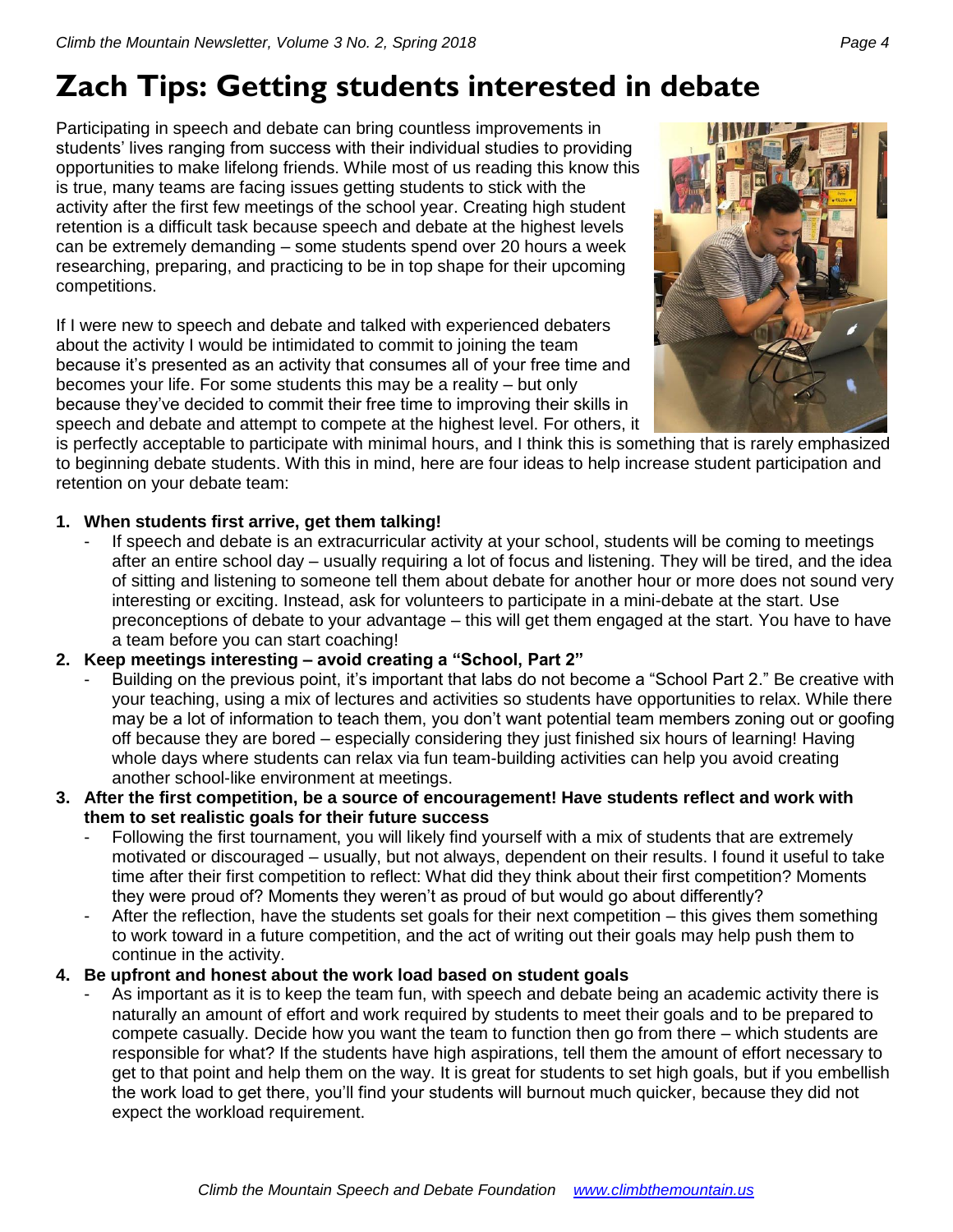# <span id="page-3-0"></span>**Zach Tips: Getting students interested in debate**

Participating in speech and debate can bring countless improvements in students' lives ranging from success with their individual studies to providing opportunities to make lifelong friends. While most of us reading this know this is true, many teams are facing issues getting students to stick with the activity after the first few meetings of the school year. Creating high student retention is a difficult task because speech and debate at the highest levels can be extremely demanding – some students spend over 20 hours a week researching, preparing, and practicing to be in top shape for their upcoming competitions.

If I were new to speech and debate and talked with experienced debaters about the activity I would be intimidated to commit to joining the team because it's presented as an activity that consumes all of your free time and becomes your life. For some students this may be a reality – but only because they've decided to commit their free time to improving their skills in speech and debate and attempt to compete at the highest level. For others, it



is perfectly acceptable to participate with minimal hours, and I think this is something that is rarely emphasized to beginning debate students. With this in mind, here are four ideas to help increase student participation and retention on your debate team:

#### **1. When students first arrive, get them talking!**

If speech and debate is an extracurricular activity at your school, students will be coming to meetings after an entire school day – usually requiring a lot of focus and listening. They will be tired, and the idea of sitting and listening to someone tell them about debate for another hour or more does not sound very interesting or exciting. Instead, ask for volunteers to participate in a mini-debate at the start. Use preconceptions of debate to your advantage – this will get them engaged at the start. You have to have a team before you can start coaching!

#### **2. Keep meetings interesting – avoid creating a "School, Part 2"**

- Building on the previous point, it's important that labs do not become a "School Part 2." Be creative with your teaching, using a mix of lectures and activities so students have opportunities to relax. While there may be a lot of information to teach them, you don't want potential team members zoning out or goofing off because they are bored – especially considering they just finished six hours of learning! Having whole days where students can relax via fun team-building activities can help you avoid creating another school-like environment at meetings.
- **3. After the first competition, be a source of encouragement! Have students reflect and work with them to set realistic goals for their future success**
	- Following the first tournament, you will likely find yourself with a mix of students that are extremely motivated or discouraged – usually, but not always, dependent on their results. I found it useful to take time after their first competition to reflect: What did they think about their first competition? Moments they were proud of? Moments they weren't as proud of but would go about differently?
	- After the reflection, have the students set goals for their next competition this gives them something to work toward in a future competition, and the act of writing out their goals may help push them to continue in the activity.

#### **4. Be upfront and honest about the work load based on student goals**

As important as it is to keep the team fun, with speech and debate being an academic activity there is naturally an amount of effort and work required by students to meet their goals and to be prepared to compete casually. Decide how you want the team to function then go from there – which students are responsible for what? If the students have high aspirations, tell them the amount of effort necessary to get to that point and help them on the way. It is great for students to set high goals, but if you embellish the work load to get there, you'll find your students will burnout much quicker, because they did not expect the workload requirement.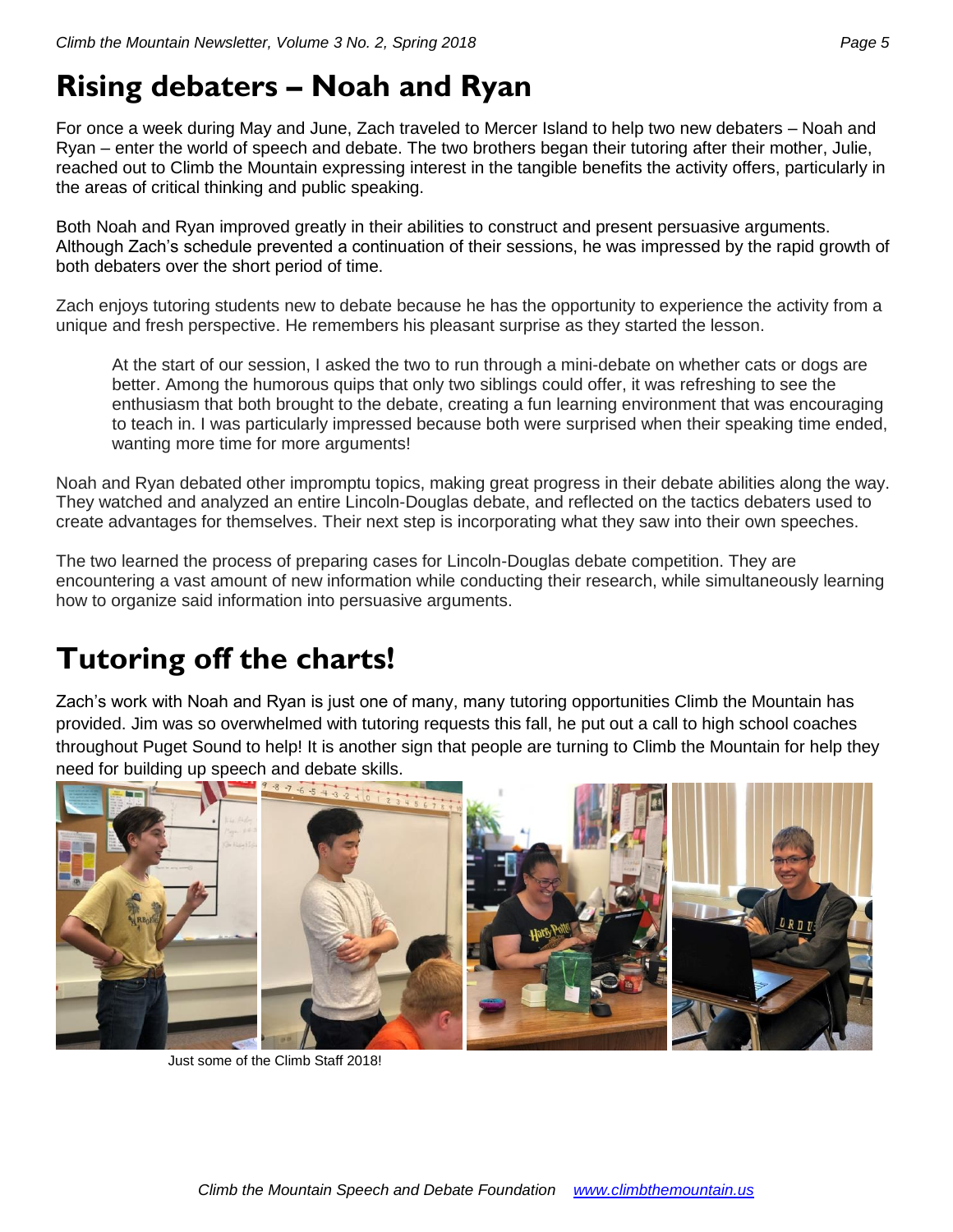# <span id="page-4-0"></span>**Rising debaters – Noah and Ryan**

For once a week during May and June, Zach traveled to Mercer Island to help two new debaters – Noah and Ryan – enter the world of speech and debate. The two brothers began their tutoring after their mother, Julie, reached out to Climb the Mountain expressing interest in the tangible benefits the activity offers, particularly in the areas of critical thinking and public speaking.

Both Noah and Ryan improved greatly in their abilities to construct and present persuasive arguments. Although Zach's schedule prevented a continuation of their sessions, he was impressed by the rapid growth of both debaters over the short period of time.

Zach enjoys tutoring students new to debate because he has the opportunity to experience the activity from a unique and fresh perspective. He remembers his pleasant surprise as they started the lesson.

At the start of our session, I asked the two to run through a mini-debate on whether cats or dogs are better. Among the humorous quips that only two siblings could offer, it was refreshing to see the enthusiasm that both brought to the debate, creating a fun learning environment that was encouraging to teach in. I was particularly impressed because both were surprised when their speaking time ended, wanting more time for more arguments!

Noah and Ryan debated other impromptu topics, making great progress in their debate abilities along the way. They watched and analyzed an entire Lincoln-Douglas debate, and reflected on the tactics debaters used to create advantages for themselves. Their next step is incorporating what they saw into their own speeches.

The two learned the process of preparing cases for Lincoln-Douglas debate competition. They are encountering a vast amount of new information while conducting their research, while simultaneously learning how to organize said information into persuasive arguments.

# <span id="page-4-1"></span>**Tutoring off the charts!**

Zach's work with Noah and Ryan is just one of many, many tutoring opportunities Climb the Mountain has provided. Jim was so overwhelmed with tutoring requests this fall, he put out a call to high school coaches throughout Puget Sound to help! It is another sign that people are turning to Climb the Mountain for help they need for building up speech and debate skills.



Just some of the Climb Staff 2018!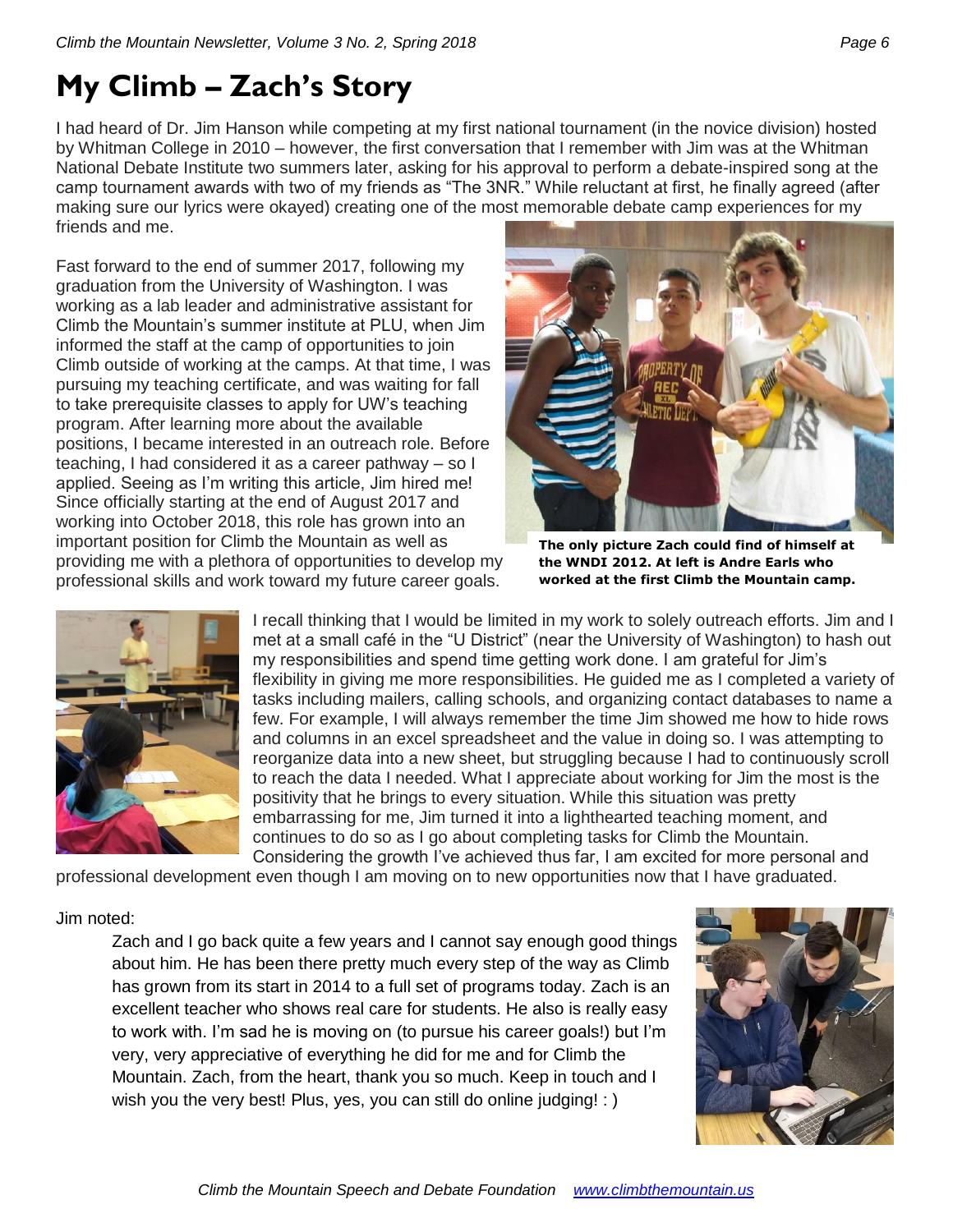# <span id="page-5-0"></span>**My Climb – Zach's Story**

I had heard of Dr. Jim Hanson while competing at my first national tournament (in the novice division) hosted by Whitman College in 2010 – however, the first conversation that I remember with Jim was at the Whitman National Debate Institute two summers later, asking for his approval to perform a debate-inspired song at the camp tournament awards with two of my friends as "The 3NR." While reluctant at first, he finally agreed (after making sure our lyrics were okayed) creating one of the most memorable debate camp experiences for my friends and me.

Fast forward to the end of summer 2017, following my graduation from the University of Washington. I was working as a lab leader and administrative assistant for Climb the Mountain's summer institute at PLU, when Jim informed the staff at the camp of opportunities to join Climb outside of working at the camps. At that time, I was pursuing my teaching certificate, and was waiting for fall to take prerequisite classes to apply for UW's teaching program. After learning more about the available positions, I became interested in an outreach role. Before teaching, I had considered it as a career pathway – so I applied. Seeing as I'm writing this article, Jim hired me! Since officially starting at the end of August 2017 and working into October 2018, this role has grown into an important position for Climb the Mountain as well as providing me with a plethora of opportunities to develop my professional skills and work toward my future career goals.



**The only picture Zach could find of himself at the WNDI 2012. At left is Andre Earls who worked at the first Climb the Mountain camp.**



I recall thinking that I would be limited in my work to solely outreach efforts. Jim and I met at a small café in the "U District" (near the University of Washington) to hash out my responsibilities and spend time getting work done. I am grateful for Jim's flexibility in giving me more responsibilities. He guided me as I completed a variety of tasks including mailers, calling schools, and organizing contact databases to name a few. For example, I will always remember the time Jim showed me how to hide rows and columns in an excel spreadsheet and the value in doing so. I was attempting to reorganize data into a new sheet, but struggling because I had to continuously scroll to reach the data I needed. What I appreciate about working for Jim the most is the positivity that he brings to every situation. While this situation was pretty embarrassing for me, Jim turned it into a lighthearted teaching moment, and continues to do so as I go about completing tasks for Climb the Mountain. Considering the growth I've achieved thus far, I am excited for more personal and

professional development even though I am moving on to new opportunities now that I have graduated.

#### Jim noted:

Zach and I go back quite a few years and I cannot say enough good things about him. He has been there pretty much every step of the way as Climb has grown from its start in 2014 to a full set of programs today. Zach is an excellent teacher who shows real care for students. He also is really easy to work with. I'm sad he is moving on (to pursue his career goals!) but I'm very, very appreciative of everything he did for me and for Climb the Mountain. Zach, from the heart, thank you so much. Keep in touch and I wish you the very best! Plus, yes, you can still do online judging! : )

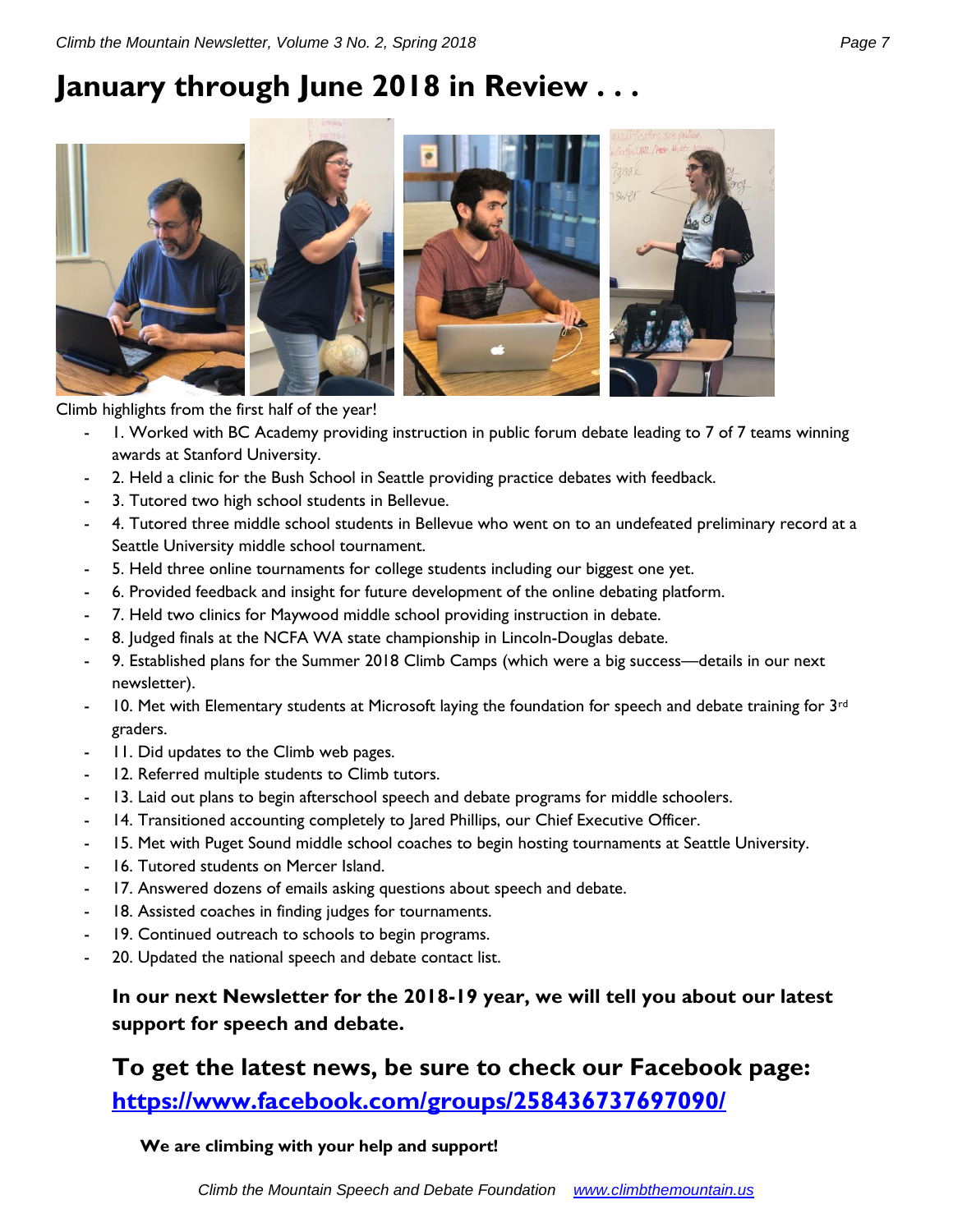## <span id="page-6-0"></span>**January through June 2018 in Review . . .**



Climb highlights from the first half of the year!

- 1. Worked with BC Academy providing instruction in public forum debate leading to 7 of 7 teams winning awards at Stanford University.
- 2. Held a clinic for the Bush School in Seattle providing practice debates with feedback.
- 3. Tutored two high school students in Bellevue.
- 4. Tutored three middle school students in Bellevue who went on to an undefeated preliminary record at a Seattle University middle school tournament.
- 5. Held three online tournaments for college students including our biggest one yet.
- 6. Provided feedback and insight for future development of the online debating platform.
- 7. Held two clinics for Maywood middle school providing instruction in debate.
- 8. Judged finals at the NCFA WA state championship in Lincoln-Douglas debate.
- 9. Established plans for the Summer 2018 Climb Camps (which were a big success—details in our next newsletter).
- 10. Met with Elementary students at Microsoft laying the foundation for speech and debate training for  $3<sup>rd</sup>$ graders.
- 11. Did updates to the Climb web pages.
- 12. Referred multiple students to Climb tutors.
- 13. Laid out plans to begin afterschool speech and debate programs for middle schoolers.
- 14. Transitioned accounting completely to Jared Phillips, our Chief Executive Officer.
- 15. Met with Puget Sound middle school coaches to begin hosting tournaments at Seattle University.
- 16. Tutored students on Mercer Island.
- 17. Answered dozens of emails asking questions about speech and debate.
- 18. Assisted coaches in finding judges for tournaments.
- 19. Continued outreach to schools to begin programs.
- 20. Updated the national speech and debate contact list.

### **In our next Newsletter for the 2018-19 year, we will tell you about our latest support for speech and debate.**

### **To get the latest news, be sure to check our Facebook page: <https://www.facebook.com/groups/258436737697090/>**

#### **We are climbing with your help and support!**